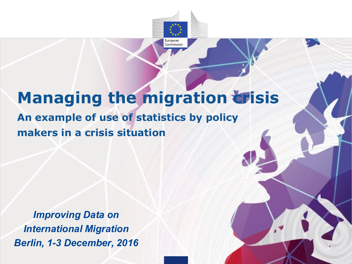

1

## **Managing the migration trisis An example of use of statistics by policy makers in a crisis situation**

*Improving Data on International Migration Berlin, 1-3 December, 2016*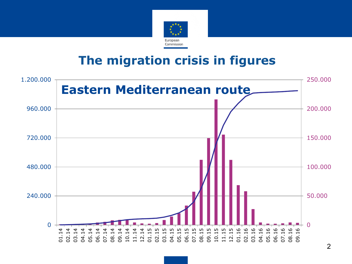

#### **The migration crisis in figures**

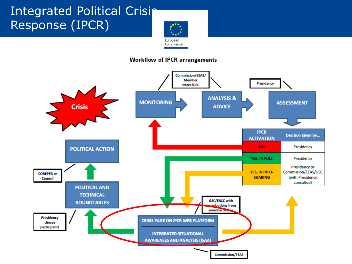#### Integrated Political Crisis Response (IPCR)



#### **Workflow of IPCR arrangements**

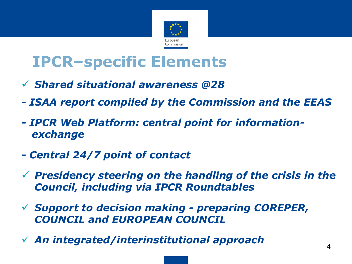

## **IPCR–specific Elements**

- *Shared situational awareness @28*
- *- ISAA report compiled by the Commission and the EEAS*
- *- IPCR Web Platform: central point for informationexchange*
- *- Central 24/7 point of contact*
- *Presidency steering on the handling of the crisis in the Council, including via IPCR Roundtables*
- *Support to decision making - preparing COREPER, COUNCIL and EUROPEAN COUNCIL*
- *An integrated/interinstitutional approach*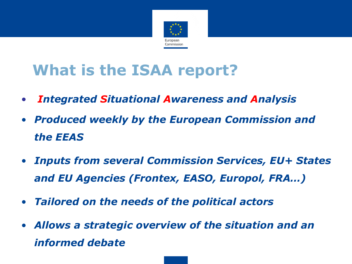

# **What is the ISAA report?**

- *Integrated Situational Awareness and Analysis*
- *Produced weekly by the European Commission and the EEAS*
- *Inputs from several Commission Services, EU+ States and EU Agencies (Frontex, EASO, Europol, FRA…)*
- *Tailored on the needs of the political actors*
- *Allows a strategic overview of the situation and an informed debate*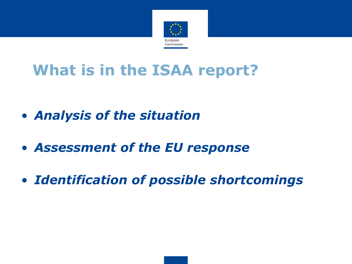

# **What is in the ISAA report?**

- *Analysis of the situation*
- *Assessment of the EU response*
- *Identification of possible shortcomings*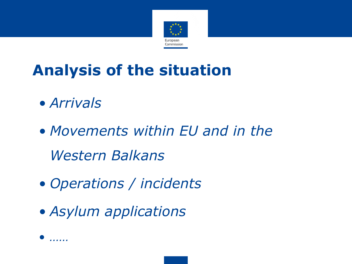

# **Analysis of the situation**

- *Arrivals*
- *Movements within EU and in the Western Balkans*
- *Operations / incidents*
- *Asylum applications*

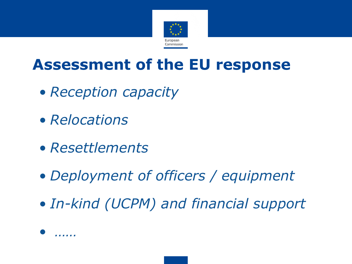

### **Assessment of the EU response**

- *Reception capacity*
- *Relocations*
- *Resettlements*
- *Deployment of officers / equipment*
- *In-kind (UCPM) and financial support*

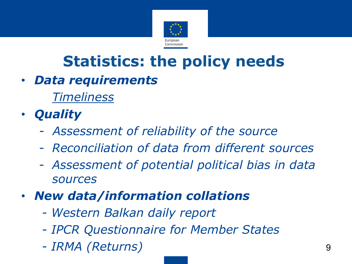

# **Statistics: the policy needs**

• *Data requirements*

*Timeliness*

- *Quality*
	- *- Assessment of reliability of the source*
	- *Reconciliation of data from different sources*
	- *Assessment of potential political bias in data sources*
- *New data/information collations*
	- *- Western Balkan daily report*
	- *- IPCR Questionnaire for Member States*
	- *- IRMA (Returns)* 9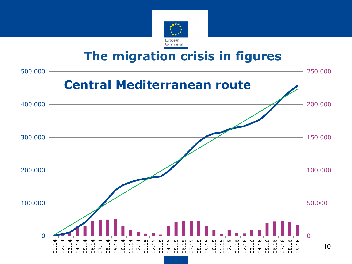

#### **The migration crisis in figures**